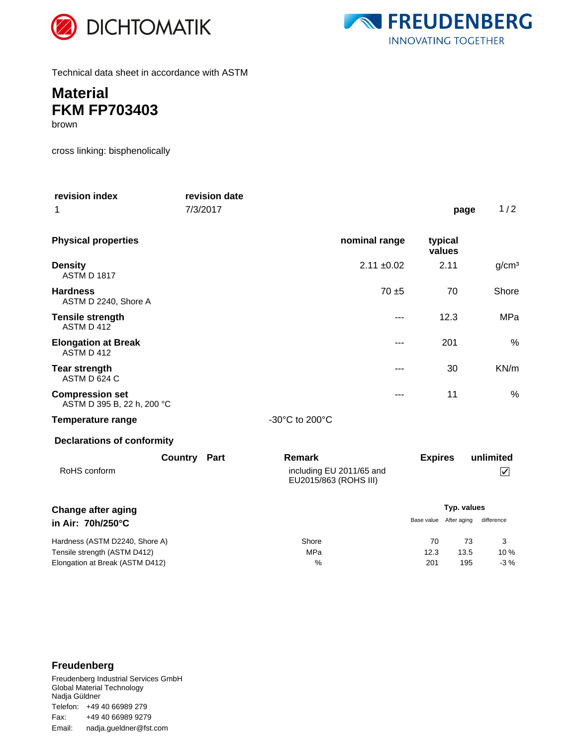



Technical data sheet in accordance with ASTM

## **Material FKM FP703403**

brown

cross linking: bisphenolically

| revision index<br>1                                                                               | revision date<br>7/3/2017 |                                                                    |                   | page              | 1/2                                 |
|---------------------------------------------------------------------------------------------------|---------------------------|--------------------------------------------------------------------|-------------------|-------------------|-------------------------------------|
| <b>Physical properties</b>                                                                        |                           | nominal range                                                      |                   | typical<br>values |                                     |
| <b>Density</b><br><b>ASTM D 1817</b>                                                              |                           | $2.11 \pm 0.02$                                                    |                   | 2.11              | g/cm <sup>3</sup>                   |
| <b>Hardness</b><br>ASTM D 2240, Shore A                                                           |                           | $70 + 5$                                                           |                   | 70                | Shore                               |
| <b>Tensile strength</b><br>ASTM D 412                                                             |                           | $---$                                                              |                   | 12.3              | MPa                                 |
| <b>Elongation at Break</b><br>ASTM D 412                                                          |                           | ---                                                                |                   | 201               | %                                   |
| <b>Tear strength</b><br>ASTM D 624 C                                                              |                           | ---                                                                |                   | 30                | KN/m                                |
| <b>Compression set</b><br>ASTM D 395 B, 22 h, 200 °C                                              |                           | ---                                                                |                   | 11                | %                                   |
| <b>Temperature range</b>                                                                          |                           | -30°C to 200°C                                                     |                   |                   |                                     |
| <b>Declarations of conformity</b>                                                                 |                           |                                                                    |                   |                   |                                     |
| RoHS conform                                                                                      | <b>Country Part</b>       | <b>Remark</b><br>including EU 2011/65 and<br>EU2015/863 (ROHS III) | <b>Expires</b>    |                   | unlimited<br>$\vert\!\sqrt{2}\vert$ |
| <b>Change after aging</b>                                                                         |                           |                                                                    | Typ. values       |                   |                                     |
| in Air: 70h/250°C                                                                                 |                           |                                                                    | Base value        | After aging       | difference                          |
| Hardness (ASTM D2240, Shore A)<br>Tensile strength (ASTM D412)<br>Elongation at Break (ASTM D412) |                           | Shore<br>MPa<br>%                                                  | 70<br>12.3<br>201 | 73<br>13.5<br>195 | 3<br>10%<br>$-3%$                   |

### **Freudenberg**

Freudenberg Industrial Services GmbH Global Material Technology Nadja Güldner Telefon: +49 40 66989 279 Email: nadja.gueldner@fst.com Fax: +49 40 66989 9279